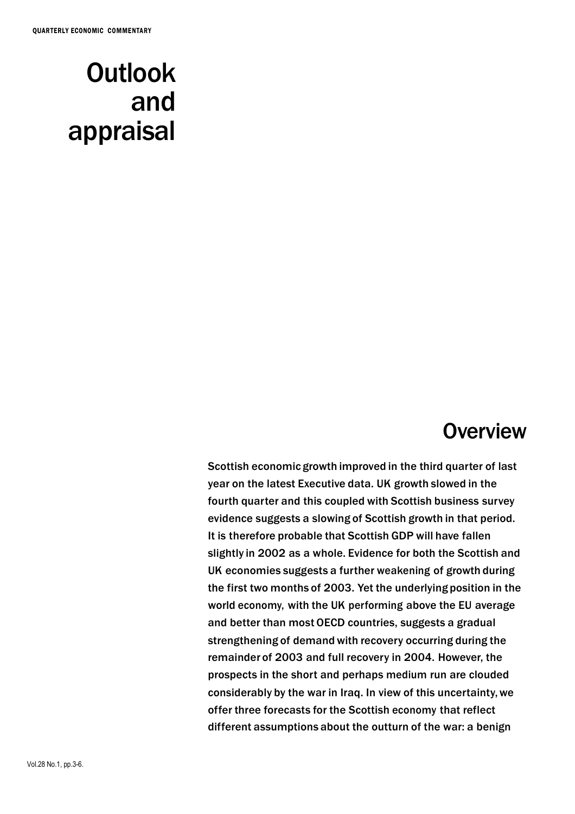# **Outlook** and appraisal

## **Overview**

Scottish economic growth improved in the third quarter of last year on the latest Executive data. UK growth slowed in the fourth quarter and this coupled with Scottish business survey evidence suggests a slowing of Scottish growth in that period. It is therefore probable that Scottish GDP will have fallen slightly in 2002 as a whole. Evidence for both the Scottish and UK economies suggests a further weakening of growth during the first two months of 2003. Yet the underlying position in the world economy, with the UK performing above the EU average and better than most OECD countries, suggests a gradual strengthening of demand with recovery occurring during the remainder of 2003 and full recovery in 2004. However, the prospects in the short and perhaps medium run are clouded considerably by the war in Iraq. In view of this uncertainty,we offer three forecasts for the Scottish economy that reflect different assumptions about the outturn of the war: a benign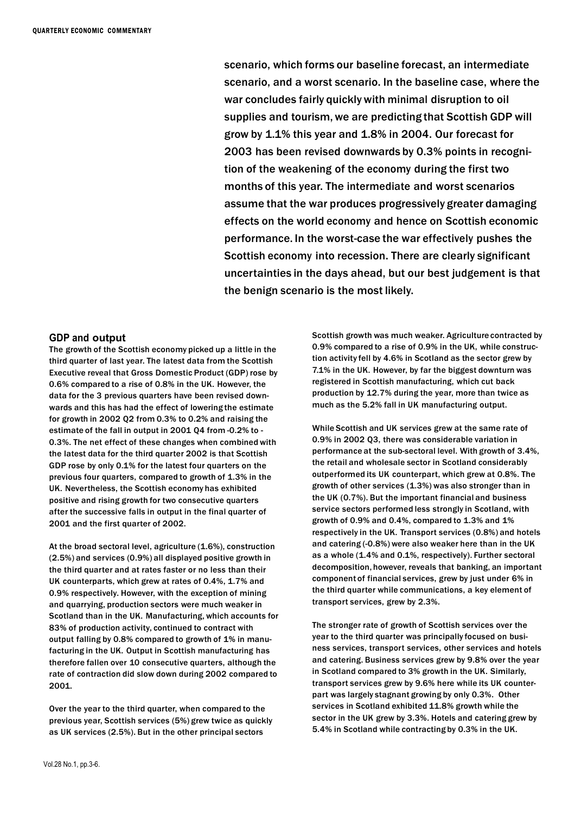scenario, which forms our baseline forecast, an intermediate scenario, and a worst scenario. In the baseline case, where the war concludes fairly quicklywith minimal disruption to oil supplies and tourism, we are predicting that Scottish GDP will grow by 1.1% this year and 1.8% in 2004. Our forecast for 2003 has been revised downwards by 0.3% points in recognition of the weakening of the economy during the first two months of this year. The intermediate and worst scenarios assume that the war produces progressively greater damaging effects on the world economy and hence on Scottish economic performance. In the worst-case the war effectively pushes the Scottish economy into recession. There are clearly significant uncertainties in the days ahead, but our best judgement is that the benign scenario is the most likely.

#### **GDP and output**

The growth of the Scottish economy picked up a little in the third quarter of last year. The latest data from the Scottish Executive reveal that Gross Domestic Product (GDP) rose by 0.6% compared to a rise of 0.8% in the UK. However, the data for the 3 previous quarters have been revised downwards and this has had the effect of lowering the estimate for growth in 2002 Q2 from 0.3% to 0.2% and raising the estimate of the fall in output in 2001 Q4 from -0.2% to - 0.3%. The net effect of these changes when combined with the latest data for the third quarter 2002 is that Scottish GDP rose by only 0.1% for the latest four quarters on the previous four quarters, compared to growth of 1.3% in the UK. Nevertheless, the Scottish economy has exhibited positive and rising growth for two consecutive quarters after the successive falls in output in the final quarter of 2001 and the first quarter of 2002.

At the broad sectoral level, agriculture (1.6%), construction (2.5%) and services (0.9%) all displayed positive growth in the third quarter and at rates faster or no less than their UK counterparts, which grew at rates of 0.4%, 1.7% and 0.9% respectively. However, with the exception of mining and quarrying, production sectors were much weaker in Scotland than in the UK. Manufacturing, which accounts for 83% of production activity, continued to contract with output falling by 0.8% compared to growth of 1% in manufacturing in the UK. Output in Scottish manufacturing has therefore fallen over 10 consecutive quarters, although the rate of contraction did slow down during 2002 compared to 2001.

Over the year to the third quarter, when compared to the previous year, Scottish services (5%) grew twice as quickly as UK services (2.5%). But in the other principal sectors

Scottish growth was much weaker. Agriculture contracted by 0.9% compared to a rise of 0.9% in the UK, while construction activity fell by 4.6% in Scotland as the sector grew by 7.1% in the UK. However, by far the biggest downturn was registered in Scottish manufacturing, which cut back production by 12.7% during the year, more than twice as much as the 5.2% fall in UK manufacturing output.

While Scottish and UK services grew at the same rate of 0.9% in 2002 Q3, there was considerable variation in performance at the sub-sectoral level. With growth of 3.4%, the retail and wholesale sector in Scotland considerably outperformed its UK counterpart, which grew at 0.8%. The growth of other services (1.3%) was also stronger than in the UK (0.7%). But the important financial and business service sectors performed less strongly in Scotland, with growth of 0.9% and 0.4%, compared to 1.3% and 1% respectively in the UK. Transport services (0.8%) and hotels and catering (-0.8%) were also weaker here than in the UK as a whole (1.4% and 0.1%, respectively). Further sectoral decomposition, however, reveals that banking, an important component of financial services, grew by just under 6% in the third quarter while communications, a key element of transport services, grew by 2.3%.

The stronger rate of growth of Scottish services over the year to the third quarter was principally focused on business services, transport services, other services and hotels and catering. Business services grew by 9.8% over the year in Scotland compared to 3% growth in the UK. Similarly, transport services grew by 9.6% here while its UK counterpart was largely stagnant growing by only 0.3%. Other services in Scotland exhibited 11.8% growth while the sector in the UK grew by 3.3%. Hotels and catering grew by 5.4% in Scotland while contracting by 0.3% in the UK.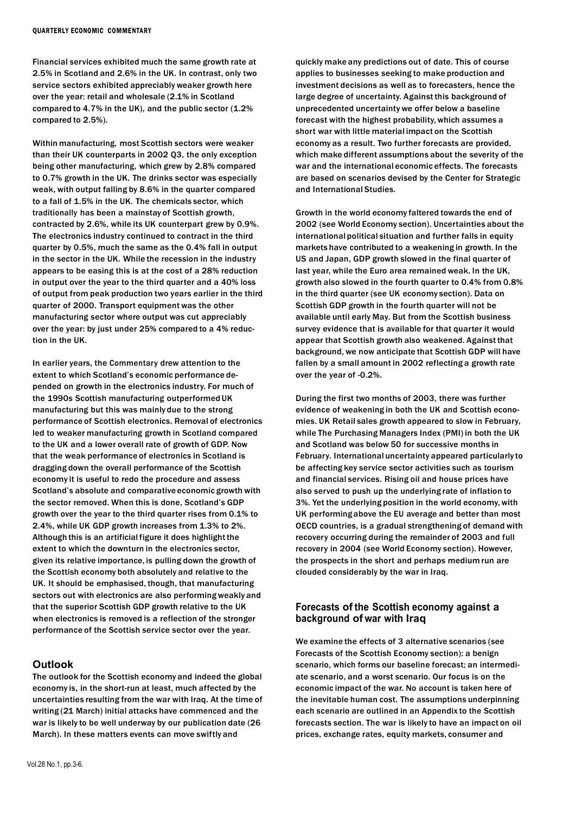Financial services exhibited much the same growth rate at 2.5% in Scotland and 2.6% in the UK. In contrast, only two service sectors exhibited appreciably weaker growth here over the year: retail and wholesale (2.1% in Scotland compared to 4.7% in the UK), and the public sector  $(1.2\%)$ compared to 2.5%).

Within manufacturing, most Scottish sectors were weaker than their UK counterparts in 2002 Q3, the only exception being other manufacturing, which grew by 2.8% compared to 0.7% growth in the UK. The drinks sector was especially weak, with output falling by 8.6% in the quarter compared to a fall of 1.5% in the UK. The chemicals sector, which traditionally has been a mainstay of Scottish growth, contracted by 2.6%, while its UK counterpart grew by 0.9%. The electronics industry continued to contract in the third quarter by 0.5%, much the same as the 0.4% fall in output in the sector in the UK. While the recession in the industry appears to be easing this is at the cost of a 28% reduction in output over the year to the third quarter and a 40% loss of output from peak production two years earlier in the third quarter of 2000. Transport equipment was the other manufacturing sector where output was cut appreciably over the year: by just under 25% compared to a 4% reduction in the UK.

In earlier years, the Commentary drew attention to the extent to which Scotland's economic performance depended on growth in the electronics industry. For much of the 1990s Scottish manufacturing outperformedUK manufacturing but this was mainly due to the strong performance of Scottish electronics. Removal of electronics led to weaker manufacturing growth in Scotland compared to the UK and a lower overall rate of growth of GDP. Now that the weak performance of electronics in Scotland is dragging down the overall performance of the Scottish economy it is useful to redo the procedure and assess Scotland's absolute and comparative economic growth with the sector removed. When this is done, Scotland's GDP growth over the year to the third quarter rises from 0.1% to 2.4%, while UK GDP growth increases from 1.3% to 2%. Although this is an artificial figure it does highlight the extent to which the downturn in the electronics sector, given its relative importance, is pulling down the growth of the Scottish economy both absolutely and relative to the UK. It should be emphasised, though, that manufacturing sectors out with electronics are also performing weakly and that the superior Scottish GDP growth relative to the UK when electronics is removed is a reflection of the stronger performance of the Scottish service sector over the year.

### **Outlook**

The outlook for the Scottish economy and indeed the global economy is, in the short-run at least, much affected by the uncertainties resulting from the war with Iraq. At the time of writing (21 March) initial attacks have commenced and the war is likely to be well underway by our publication date (26 March). In these matters events can move swiftly and

quickly make any predictions out of date. This of course applies to businesses seeking to make production and investment decisions as well as to forecasters, hence the large degree of uncertainty. Against this background of unprecedented uncertainty we offer below a baseline forecast with the highest probability,which assumes a short war with little material impact on the Scottish economy as a result. Two further forecasts are provided, which make different assumptions about the severity of the war and the international economic effects. The forecasts are based on scenarios devised by the Center for Strategic and International Studies.

Growth in the world economy faltered towards the end of 2002 (see World Economy section). Uncertainties about the international political situation and further falls in equity markets have contributed to a weakening in growth. In the US and Japan, GDP growth slowed in the final quarter of last year, while the Euro area remained weak. In the UK, growth also slowed in the fourth quarter to 0.4% from 0.8% in the third quarter (see UK economy section). Data on Scottish GDP growth in the fourth quarter will not be available until early May. But from the Scottish business survey evidence that is available for that quarter it would appear that Scottish growth also weakened. Against that background, we now anticipate that Scottish GDP will have fallen by a small amount in 2002 reflecting a growth rate over the year of -0.2%.

During the first two months of 2003, there was further evidence of weakening in both the UK and Scottish economies. UK Retail sales growth appeared to slow in February, while The Purchasing Managers Index (PMI) in both the UK and Scotland was below 50 for successive months in February. International uncertainty appeared particularly to be affecting key service sector activities such as tourism and financial services. Rising oil and house prices have also served to push up the underlying rate of inflation to 3%. Yet the underlying position in the world economy,with UK performing above the EU average and better than most OECD countries, is a gradual strengthening of demand with recovery occurring during the remainder of 2003 and full recovery in 2004 (see World Economy section). However, the prospects in the short and perhaps medium run are clouded considerably by the war in Iraq.

#### **Forecasts of the Scottish economy against a background of war with Iraq**

We examine the effects of 3 alternative scenarios (see Forecasts of the Scottish Economy section): a benign scenario, which forms our baseline forecast; an intermediate scenario, and a worst scenario. Our focus is on the economic impact of the war. No account is taken here of the inevitable human cost. The assumptions underpinning each scenario are outlined in an Appendix to the Scottish forecasts section. The war is likely to have an impact on oil prices, exchange rates, equity markets, consumer and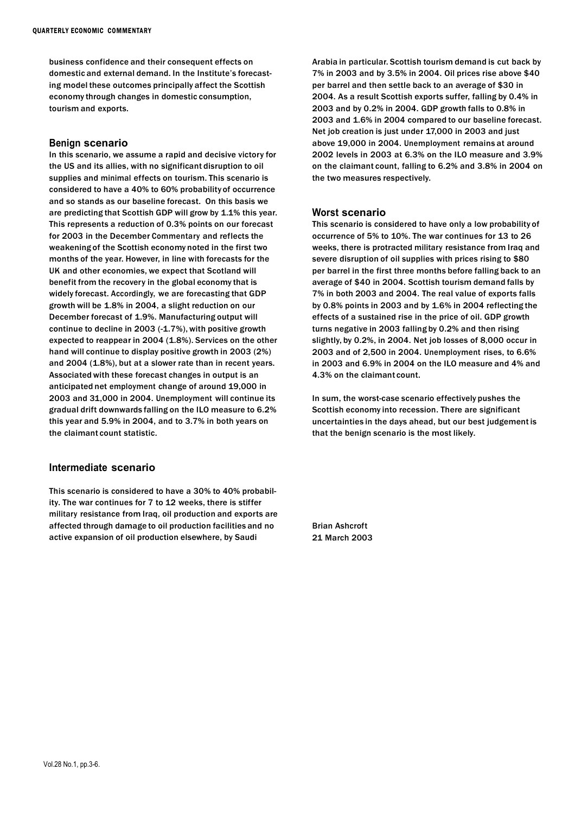business confidence and their consequent effects on domestic and external demand. In the Institute's forecasting model these outcomes principally affect the Scottish economy through changes in domestic consumption, tourism and exports.

#### **Benign scenario**

In this scenario, we assume a rapid and decisive victory for the US and its allies, with no significant disruption to oil supplies and minimal effects on tourism. This scenario is considered to have a 40% to 60% probabilityof occurrence and so stands as our baseline forecast. On this basis we are predicting that Scottish GDP will grow by 1.1% this year. This represents a reduction of 0.3% points on our forecast for 2003 in the December Commentary and reflects the weakening of the Scottish economy noted in the first two months of the year. However, in line with forecasts for the UK and other economies, we expect that Scotland will benefit from the recovery in the global economy that is widely forecast. Accordingly, we are forecasting that GDP growth will be 1.8% in 2004, a slight reduction on our December forecast of 1.9%. Manufacturing output will continue to decline in 2003 (-1.7%), with positive growth expected to reappear in 2004 (1.8%). Services on the other hand will continue to display positive growth in 2003 (2%) and 2004 (1.8%), but at a slower rate than in recent years. Associated with these forecast changes in output is an anticipated net employment change of around 19,000 in 2003 and 31,000 in 2004. Unemployment will continue its gradual drift downwards falling on the ILO measure to 6.2% this year and 5.9% in 2004, and to 3.7% in both years on the claimant count statistic.

### **Intermediate scenario**

This scenario is considered to have a 30% to 40% probability. The war continues for 7 to 12 weeks, there is stiffer military resistance from Iraq, oil production and exports are affected through damage to oil production facilities and no active expansion of oil production elsewhere, by Saudi

Arabia in particular. Scottish tourism demand is cut back by 7% in 2003 and by 3.5% in 2004. Oil prices rise above \$40 per barrel and then settle back to an average of \$30 in 2004. As a result Scottish exports suffer, falling by 0.4% in 2003 and by 0.2% in 2004. GDP growth falls to 0.8% in 2003 and 1.6% in 2004 compared to our baseline forecast. Net job creation is just under 17,000 in 2003 and just above 19,000 in 2004. Unemployment remains at around 2002 levels in 2003 at 6.3% on the ILO measure and 3.9% on the claimant count, falling to 6.2% and 3.8% in 2004 on the two measures respectively.

#### **Worst scenario**

This scenario is considered to have only a low probability of occurrence of 5% to 10%. The war continues for 13 to 26 weeks, there is protracted military resistance from Iraq and severe disruption of oil supplies with prices rising to \$80 per barrel in the first three months before falling back to an average of \$40 in 2004. Scottish tourism demand falls by 7% in both 2003 and 2004. The real value of exports falls by 0.8% points in 2003 and by 1.6% in 2004 reflecting the effects of a sustained rise in the price of oil. GDP growth turns negative in 2003 falling by 0.2% and then rising slightly, by 0.2%, in 2004. Net job losses of 8,000 occur in 2003 and of 2,500 in 2004. Unemployment rises, to 6.6% in 2003 and 6.9% in 2004 on the ILO measure and 4% and 4.3% on the claimant count.

In sum, the worst-case scenario effectively pushes the Scottish economy into recession. There are significant uncertainties in the days ahead, but our best judgement is that the benign scenario is the most likely.

Brian Ashcroft 21 March 2003